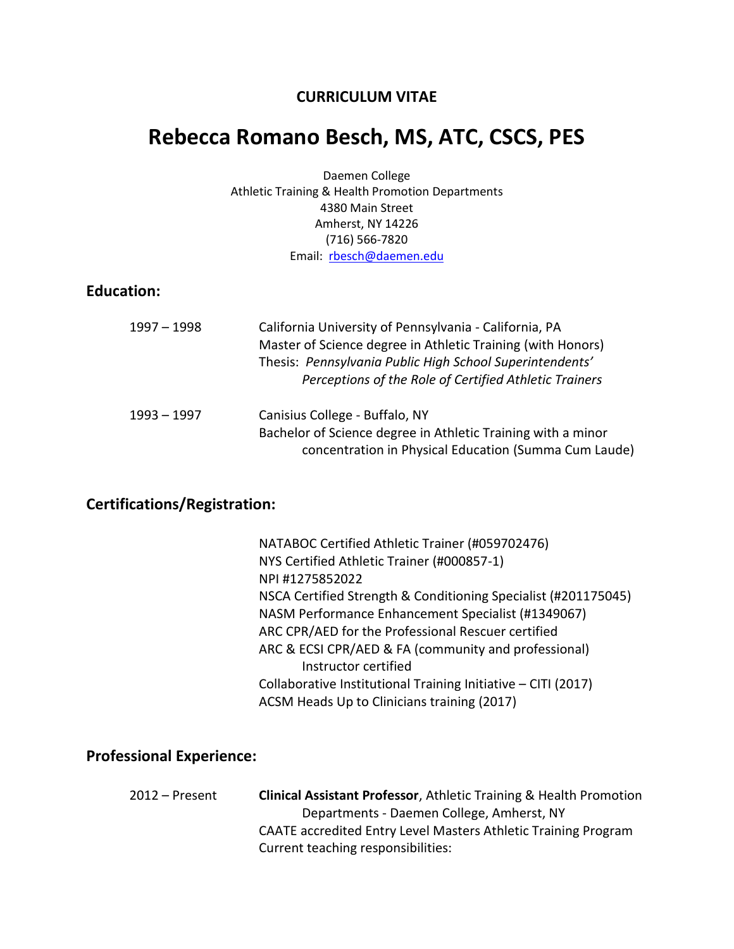#### **CURRICULUM VITAE**

# **Rebecca Romano Besch, MS, ATC, CSCS, PES**

Daemen College Athletic Training & Health Promotion Departments 4380 Main Street Amherst, NY 14226 (716) 566-7820 Email: [rbesch@daemen.edu](mailto:rbesch@daemen.edu)

#### **Education:**

| 1997 - 1998 | California University of Pennsylvania - California, PA<br>Master of Science degree in Athletic Training (with Honors)<br>Thesis: Pennsylvania Public High School Superintendents'<br>Perceptions of the Role of Certified Athletic Trainers |
|-------------|---------------------------------------------------------------------------------------------------------------------------------------------------------------------------------------------------------------------------------------------|
| 1993 – 1997 | Canisius College - Buffalo, NY<br>Bachelor of Science degree in Athletic Training with a minor<br>concentration in Physical Education (Summa Cum Laude)                                                                                     |

### **Certifications/Registration:**

| NATABOC Certified Athletic Trainer (#059702476)                |
|----------------------------------------------------------------|
| NYS Certified Athletic Trainer (#000857-1)                     |
| NPI#1275852022                                                 |
| NSCA Certified Strength & Conditioning Specialist (#201175045) |
| NASM Performance Enhancement Specialist (#1349067)             |
| ARC CPR/AED for the Professional Rescuer certified             |
| ARC & ECSI CPR/AED & FA (community and professional)           |
| Instructor certified                                           |
| Collaborative Institutional Training Initiative - CITI (2017)  |
| ACSM Heads Up to Clinicians training (2017)                    |

#### **Professional Experience:**

| 2012 – Present | <b>Clinical Assistant Professor, Athletic Training &amp; Health Promotion</b> |
|----------------|-------------------------------------------------------------------------------|
|                | Departments - Daemen College, Amherst, NY                                     |
|                | CAATE accredited Entry Level Masters Athletic Training Program                |
|                | Current teaching responsibilities:                                            |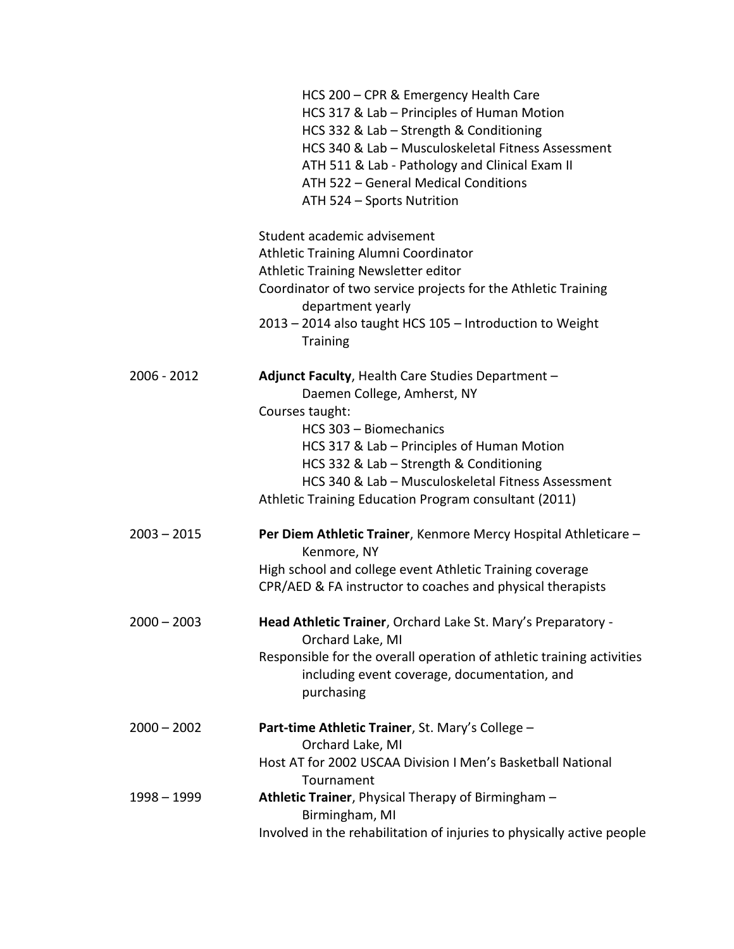|               | HCS 200 - CPR & Emergency Health Care<br>HCS 317 & Lab - Principles of Human Motion<br>HCS 332 & Lab - Strength & Conditioning<br>HCS 340 & Lab - Musculoskeletal Fitness Assessment<br>ATH 511 & Lab - Pathology and Clinical Exam II<br>ATH 522 - General Medical Conditions<br>ATH 524 - Sports Nutrition                          |
|---------------|---------------------------------------------------------------------------------------------------------------------------------------------------------------------------------------------------------------------------------------------------------------------------------------------------------------------------------------|
|               | Student academic advisement<br>Athletic Training Alumni Coordinator<br>Athletic Training Newsletter editor<br>Coordinator of two service projects for the Athletic Training<br>department yearly<br>2013 - 2014 also taught HCS 105 - Introduction to Weight<br><b>Training</b>                                                       |
| 2006 - 2012   | Adjunct Faculty, Health Care Studies Department -<br>Daemen College, Amherst, NY<br>Courses taught:<br>HCS 303 - Biomechanics<br>HCS 317 & Lab – Principles of Human Motion<br>HCS 332 & Lab - Strength & Conditioning<br>HCS 340 & Lab - Musculoskeletal Fitness Assessment<br>Athletic Training Education Program consultant (2011) |
| $2003 - 2015$ | Per Diem Athletic Trainer, Kenmore Mercy Hospital Athleticare -<br>Kenmore, NY<br>High school and college event Athletic Training coverage<br>CPR/AED & FA instructor to coaches and physical therapists                                                                                                                              |
| $2000 - 2003$ | Head Athletic Trainer, Orchard Lake St. Mary's Preparatory -<br>Orchard Lake, MI<br>Responsible for the overall operation of athletic training activities<br>including event coverage, documentation, and<br>purchasing                                                                                                               |
| $2000 - 2002$ | Part-time Athletic Trainer, St. Mary's College -<br>Orchard Lake, MI<br>Host AT for 2002 USCAA Division I Men's Basketball National                                                                                                                                                                                                   |
| 1998 - 1999   | Tournament<br>Athletic Trainer, Physical Therapy of Birmingham -<br>Birmingham, MI<br>Involved in the rehabilitation of injuries to physically active people                                                                                                                                                                          |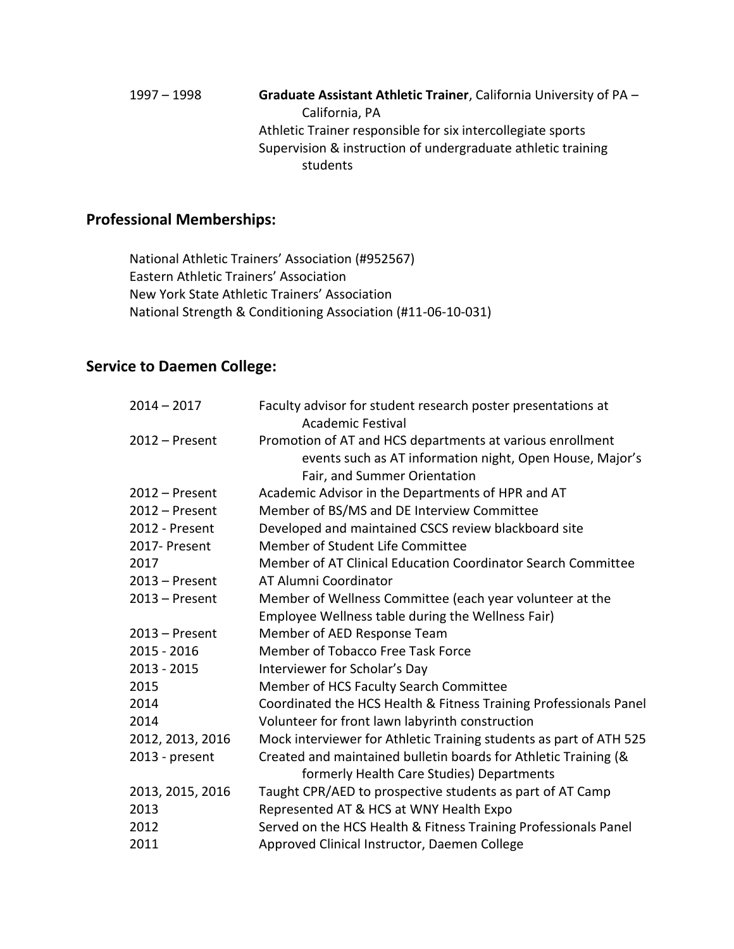1997 – 1998 **Graduate Assistant Athletic Trainer**, California University of PA – California, PA Athletic Trainer responsible for six intercollegiate sports Supervision & instruction of undergraduate athletic training students

#### **Professional Memberships:**

National Athletic Trainers' Association (#952567) Eastern Athletic Trainers' Association New York State Athletic Trainers' Association National Strength & Conditioning Association (#11-06-10-031)

#### **Service to Daemen College:**

| $2014 - 2017$    | Faculty advisor for student research poster presentations at<br><b>Academic Festival</b> |
|------------------|------------------------------------------------------------------------------------------|
| $2012$ – Present | Promotion of AT and HCS departments at various enrollment                                |
|                  | events such as AT information night, Open House, Major's                                 |
|                  | Fair, and Summer Orientation                                                             |
| $2012$ – Present | Academic Advisor in the Departments of HPR and AT                                        |
| $2012$ – Present | Member of BS/MS and DE Interview Committee                                               |
| 2012 - Present   | Developed and maintained CSCS review blackboard site                                     |
| 2017- Present    | Member of Student Life Committee                                                         |
| 2017             | Member of AT Clinical Education Coordinator Search Committee                             |
| $2013 -$ Present | AT Alumni Coordinator                                                                    |
| $2013$ – Present | Member of Wellness Committee (each year volunteer at the                                 |
|                  | Employee Wellness table during the Wellness Fair)                                        |
| $2013$ – Present | Member of AED Response Team                                                              |
| $2015 - 2016$    | Member of Tobacco Free Task Force                                                        |
| $2013 - 2015$    | Interviewer for Scholar's Day                                                            |
| 2015             | Member of HCS Faculty Search Committee                                                   |
| 2014             | Coordinated the HCS Health & Fitness Training Professionals Panel                        |
| 2014             | Volunteer for front lawn labyrinth construction                                          |
| 2012, 2013, 2016 | Mock interviewer for Athletic Training students as part of ATH 525                       |
| 2013 - present   | Created and maintained bulletin boards for Athletic Training (&                          |
|                  | formerly Health Care Studies) Departments                                                |
| 2013, 2015, 2016 | Taught CPR/AED to prospective students as part of AT Camp                                |
| 2013             | Represented AT & HCS at WNY Health Expo                                                  |
| 2012             | Served on the HCS Health & Fitness Training Professionals Panel                          |
| 2011             | Approved Clinical Instructor, Daemen College                                             |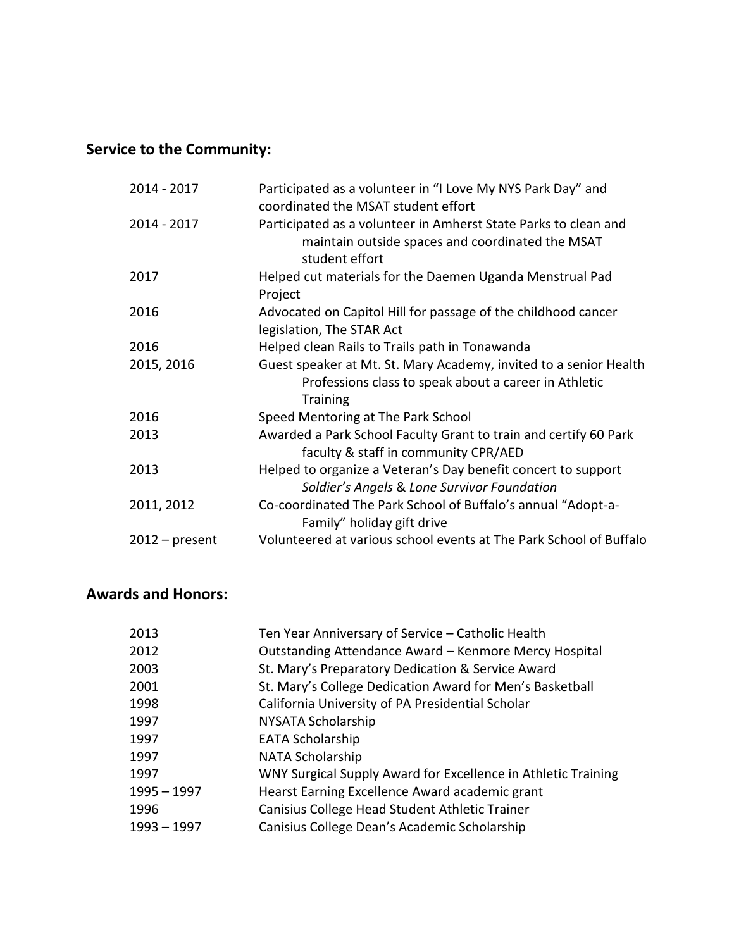## **Service to the Community:**

| $2014 - 2017$    | Participated as a volunteer in "I Love My NYS Park Day" and<br>coordinated the MSAT student effort                                            |
|------------------|-----------------------------------------------------------------------------------------------------------------------------------------------|
| $2014 - 2017$    | Participated as a volunteer in Amherst State Parks to clean and<br>maintain outside spaces and coordinated the MSAT<br>student effort         |
| 2017             | Helped cut materials for the Daemen Uganda Menstrual Pad<br>Project                                                                           |
| 2016             | Advocated on Capitol Hill for passage of the childhood cancer<br>legislation, The STAR Act                                                    |
| 2016             | Helped clean Rails to Trails path in Tonawanda                                                                                                |
| 2015, 2016       | Guest speaker at Mt. St. Mary Academy, invited to a senior Health<br>Professions class to speak about a career in Athletic<br><b>Training</b> |
| 2016             | Speed Mentoring at The Park School                                                                                                            |
| 2013             | Awarded a Park School Faculty Grant to train and certify 60 Park<br>faculty & staff in community CPR/AED                                      |
| 2013             | Helped to organize a Veteran's Day benefit concert to support<br>Soldier's Angels & Lone Survivor Foundation                                  |
| 2011, 2012       | Co-coordinated The Park School of Buffalo's annual "Adopt-a-<br>Family" holiday gift drive                                                    |
| $2012$ – present | Volunteered at various school events at The Park School of Buffalo                                                                            |

### **Awards and Honors:**

| 2013        | Ten Year Anniversary of Service - Catholic Health             |
|-------------|---------------------------------------------------------------|
| 2012        | Outstanding Attendance Award - Kenmore Mercy Hospital         |
| 2003        | St. Mary's Preparatory Dedication & Service Award             |
| 2001        | St. Mary's College Dedication Award for Men's Basketball      |
| 1998        | California University of PA Presidential Scholar              |
| 1997        | NYSATA Scholarship                                            |
| 1997        | <b>EATA Scholarship</b>                                       |
| 1997        | <b>NATA Scholarship</b>                                       |
| 1997        | WNY Surgical Supply Award for Excellence in Athletic Training |
| 1995 - 1997 | Hearst Earning Excellence Award academic grant                |
| 1996        | Canisius College Head Student Athletic Trainer                |
| 1993 - 1997 | Canisius College Dean's Academic Scholarship                  |
|             |                                                               |